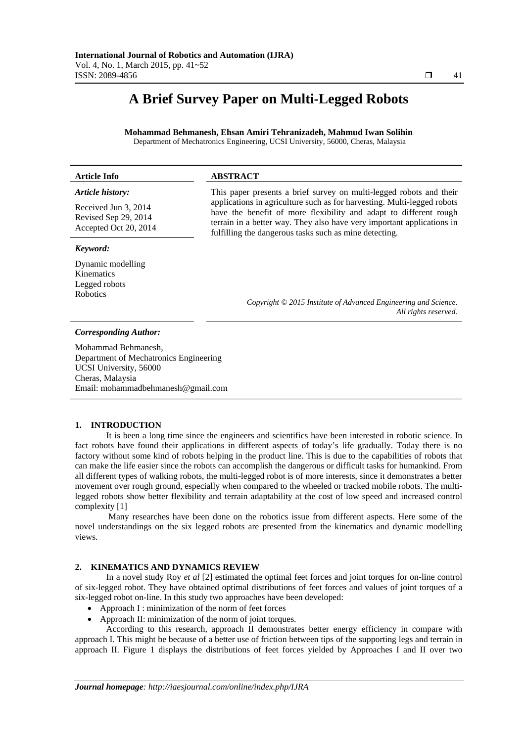## **A Brief Survey Paper on Multi-Legged Robots**

**Mohammad Behmanesh, Ehsan Amiri Tehranizadeh, Mahmud Iwan Solihin** Department of Mechatronics Engineering, UCSI University, 56000, Cheras, Malaysia

# **Article Info ABSTRACT**

*Article history:* 

Received Jun 3, 2014 Revised Sep 29, 2014 Accepted Oct 20, 2014

#### *Keyword:*

Dynamic modelling Kinematics Legged robots Robotics

 This paper presents a brief survey on multi-legged robots and their applications in agriculture such as for harvesting. Multi-legged robots have the benefit of more flexibility and adapt to different rough terrain in a better way. They also have very important applications in fulfilling the dangerous tasks such as mine detecting.

> *Copyright © 2015 Institute of Advanced Engineering and Science. All rights reserved.*

#### *Corresponding Author:*

Mohammad Behmanesh, Department of Mechatronics Engineering UCSI University, 56000 Cheras, Malaysia Email: mohammadbehmanesh@gmail.com

#### **1. INTRODUCTION**

It is been a long time since the engineers and scientifics have been interested in robotic science. In fact robots have found their applications in different aspects of today's life gradually. Today there is no factory without some kind of robots helping in the product line. This is due to the capabilities of robots that can make the life easier since the robots can accomplish the dangerous or difficult tasks for humankind. From all different types of walking robots, the multi-legged robot is of more interests, since it demonstrates a better movement over rough ground, especially when compared to the wheeled or tracked mobile robots. The multilegged robots show better flexibility and terrain adaptability at the cost of low speed and increased control complexity [1]

 Many researches have been done on the robotics issue from different aspects. Here some of the novel understandings on the six legged robots are presented from the kinematics and dynamic modelling views.

#### **2. KINEMATICS AND DYNAMICS REVIEW**

In a novel study Roy *et al* [2] estimated the optimal feet forces and joint torques for on-line control of six-legged robot. They have obtained optimal distributions of feet forces and values of joint torques of a six-legged robot on-line. In this study two approaches have been developed:

- Approach I : minimization of the norm of feet forces
- Approach II: minimization of the norm of joint torques.

According to this research, approach II demonstrates better energy efficiency in compare with approach I. This might be because of a better use of friction between tips of the supporting legs and terrain in approach II. Figure 1 displays the distributions of feet forces yielded by Approaches I and II over two

ֺֺ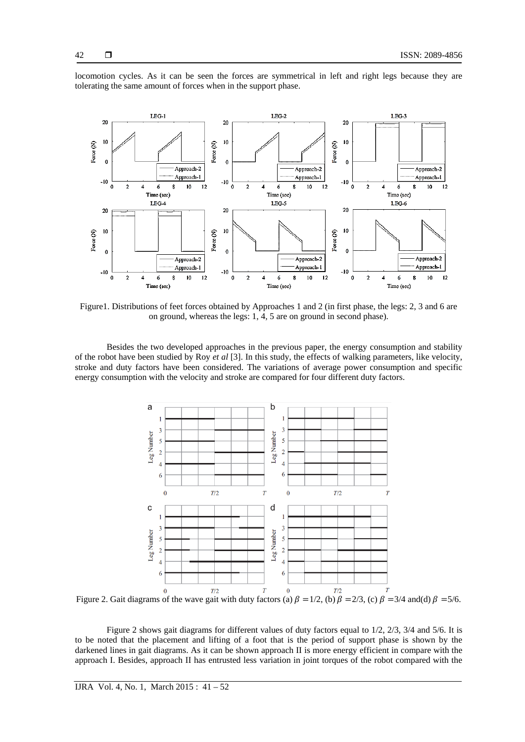

locomotion cycles. As it can be seen the forces are symmetrical in left and right legs because they are tolerating the same amount of forces when in the support phase.

Figure1. Distributions of feet forces obtained by Approaches 1 and 2 (in first phase, the legs: 2, 3 and 6 are on ground, whereas the legs: 1, 4, 5 are on ground in second phase).

Besides the two developed approaches in the previous paper, the energy consumption and stability of the robot have been studied by Roy *et al* [3]. In this study, the effects of walking parameters, like velocity, stroke and duty factors have been considered. The variations of average power consumption and specific energy consumption with the velocity and stroke are compared for four different duty factors.



Figure 2. Gait diagrams of the wave gait with duty factors (a)  $\beta = 1/2$ , (b)  $\beta = 2/3$ , (c)  $\beta = 3/4$  and(d)  $\beta = 5/6$ .

Figure 2 shows gait diagrams for different values of duty factors equal to 1/2, 2/3, 3/4 and 5/6. It is to be noted that the placement and lifting of a foot that is the period of support phase is shown by the darkened lines in gait diagrams. As it can be shown approach II is more energy efficient in compare with the approach I. Besides, approach II has entrusted less variation in joint torques of the robot compared with the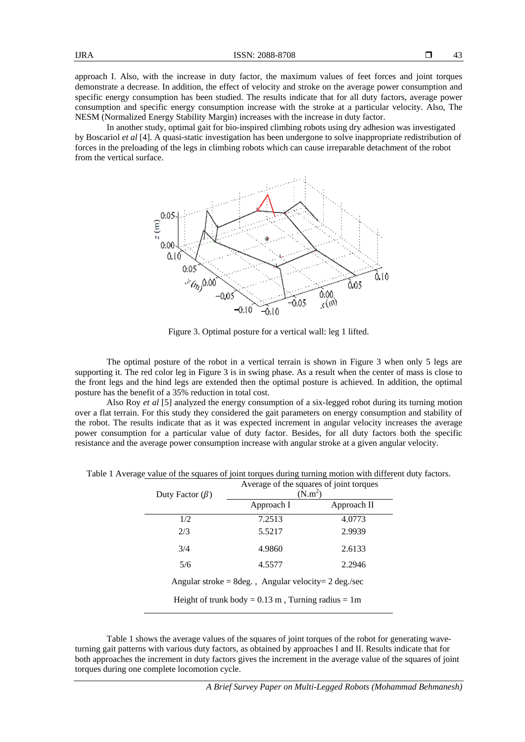43

approach I. Also, with the increase in duty factor, the maximum values of feet forces and joint torques demonstrate a decrease. In addition, the effect of velocity and stroke on the average power consumption and specific energy consumption has been studied. The results indicate that for all duty factors, average power consumption and specific energy consumption increase with the stroke at a particular velocity. Also, The NESM (Normalized Energy Stability Margin) increases with the increase in duty factor.

In another study, optimal gait for bio-inspired climbing robots using dry adhesion was investigated by Boscariol *et al* [4]. A quasi-static investigation has been undergone to solve inappropriate redistribution of forces in the preloading of the legs in climbing robots which can cause irreparable detachment of the robot from the vertical surface.



Figure 3. Optimal posture for a vertical wall: leg 1 lifted.

The optimal posture of the robot in a vertical terrain is shown in Figure 3 when only 5 legs are supporting it. The red color leg in Figure 3 is in swing phase. As a result when the center of mass is close to the front legs and the hind legs are extended then the optimal posture is achieved. In addition, the optimal posture has the benefit of a 35% reduction in total cost.

Also Roy *et al* [5] analyzed the energy consumption of a six-legged robot during its turning motion over a flat terrain. For this study they considered the gait parameters on energy consumption and stability of the robot. The results indicate that as it was expected increment in angular velocity increases the average power consumption for a particular value of duty factor. Besides, for all duty factors both the specific resistance and the average power consumption increase with angular stroke at a given angular velocity.

| Duty Factor $(\beta)$                                                      | Average of the squares of joint torques<br>(N.m <sup>2</sup> ) |             |  |  |  |
|----------------------------------------------------------------------------|----------------------------------------------------------------|-------------|--|--|--|
|                                                                            | Approach I                                                     | Approach II |  |  |  |
| 1/2                                                                        | 7.2513                                                         | 4.0773      |  |  |  |
| 2/3                                                                        | 5.5217                                                         | 2.9939      |  |  |  |
| 3/4                                                                        | 4.9860                                                         | 2.6133      |  |  |  |
| 5/6                                                                        | 4.5577                                                         | 2.2946      |  |  |  |
| Angular stroke = $8 \text{deg.}$ , Angular velocity = $2 \text{ deg./sec}$ |                                                                |             |  |  |  |
| Height of trunk body = $0.13$ m, Turning radius = 1m                       |                                                                |             |  |  |  |

Table 1 Average value of the squares of joint torques during turning motion with different duty factors.

Table 1 shows the average values of the squares of joint torques of the robot for generating waveturning gait patterns with various duty factors, as obtained by approaches I and II. Results indicate that for both approaches the increment in duty factors gives the increment in the average value of the squares of joint torques during one complete locomotion cycle.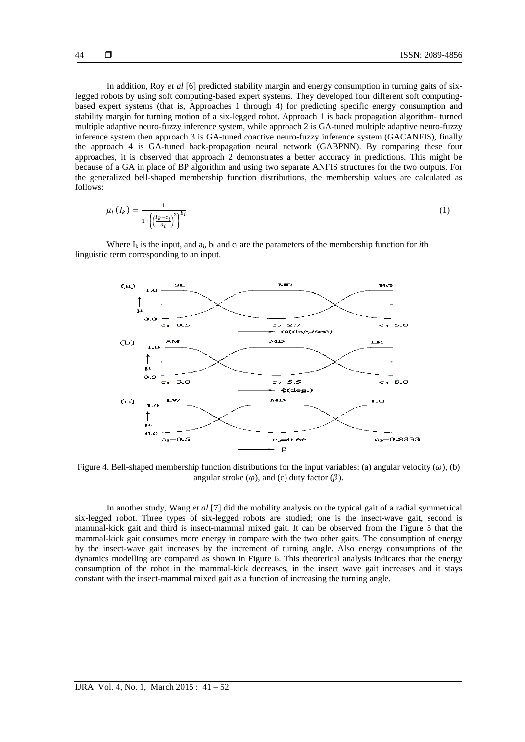In addition, Roy *et al* [6] predicted stability margin and energy consumption in turning gaits of sixlegged robots by using soft computing-based expert systems. They developed four different soft computingbased expert systems (that is, Approaches 1 through 4) for predicting specific energy consumption and stability margin for turning motion of a six-legged robot. Approach 1 is back propagation algorithm- turned multiple adaptive neuro-fuzzy inference system, while approach 2 is GA-tuned multiple adaptive neuro-fuzzy inference system then approach 3 is GA-tuned coactive neuro-fuzzy inference system (GACANFIS), finally the approach 4 is GA-tuned back-propagation neural network (GABPNN). By comparing these four approaches, it is observed that approach 2 demonstrates a better accuracy in predictions. This might be because of a GA in place of BP algorithm and using two separate ANFIS structures for the two outputs. For the generalized bell-shaped membership function distributions, the membership values are calculated as follows:

$$
\mu_i\left(I_k\right) = \frac{1}{1 + \left(\left(\frac{I_k - c_i}{a_i}\right)^2\right)^{b_i}}\tag{1}
$$

Where  $I_k$  is the input, and  $a_i$ ,  $b_i$  and  $c_i$  are the parameters of the membership function for *i*th linguistic term corresponding to an input.



Figure 4. Bell-shaped membership function distributions for the input variables: (a) angular velocity ( $\omega$ ), (b) angular stroke  $(\varphi)$ , and (c) duty factor  $(\beta)$ .

In another study, Wang *et al* [7] did the mobility analysis on the typical gait of a radial symmetrical six-legged robot. Three types of six-legged robots are studied; one is the insect-wave gait, second is mammal-kick gait and third is insect-mammal mixed gait. It can be observed from the Figure 5 that the mammal-kick gait consumes more energy in compare with the two other gaits. The consumption of energy by the insect-wave gait increases by the increment of turning angle. Also energy consumptions of the dynamics modelling are compared as shown in Figure 6. This theoretical analysis indicates that the energy consumption of the robot in the mammal-kick decreases, in the insect wave gait increases and it stays constant with the insect-mammal mixed gait as a function of increasing the turning angle.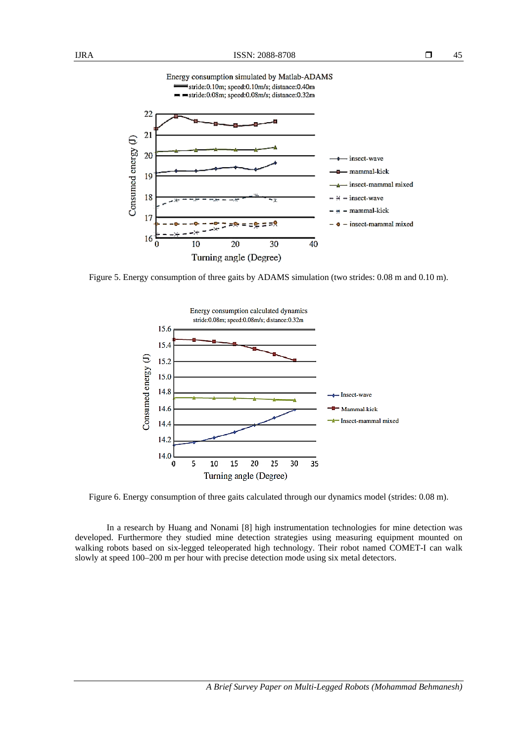

Figure 5. Energy consumption of three gaits by ADAMS simulation (two strides: 0.08 m and 0.10 m).



Figure 6. Energy consumption of three gaits calculated through our dynamics model (strides: 0.08 m).

In a research by Huang and Nonami [8] high instrumentation technologies for mine detection was developed. Furthermore they studied mine detection strategies using measuring equipment mounted on walking robots based on six-legged teleoperated high technology. Their robot named COMET-I can walk slowly at speed 100–200 m per hour with precise detection mode using six metal detectors.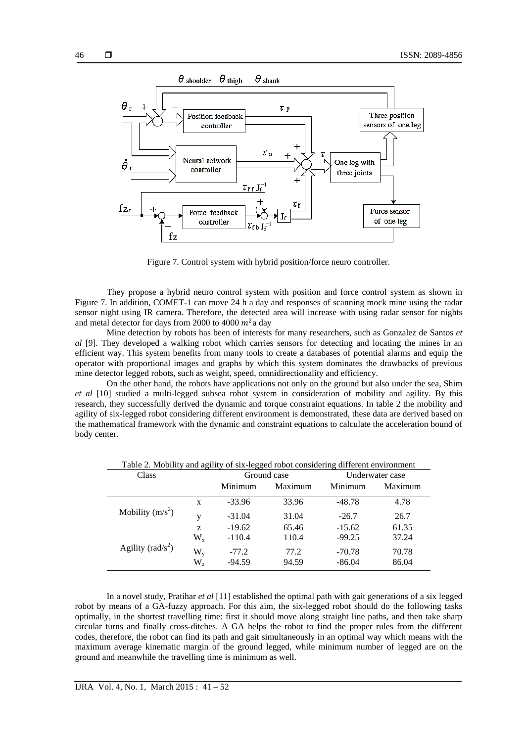

Figure 7. Control system with hybrid position/force neuro controller.

They propose a hybrid neuro control system with position and force control system as shown in Figure 7. In addition, COMET-1 can move 24 h a day and responses of scanning mock mine using the radar sensor night using IR camera. Therefore, the detected area will increase with using radar sensor for nights and metal detector for days from 2000 to 4000  $m^2$ a day

Mine detection by robots has been of interests for many researchers, such as Gonzalez de Santos *et al* [9]. They developed a walking robot which carries sensors for detecting and locating the mines in an efficient way. This system benefits from many tools to create a databases of potential alarms and equip the operator with proportional images and graphs by which this system dominates the drawbacks of previous mine detector legged robots, such as weight, speed, omnidirectionality and efficiency.

On the other hand, the robots have applications not only on the ground but also under the sea, Shim *et al* [10] studied a multi-legged subsea robot system in consideration of mobility and agility. By this research, they successfully derived the dynamic and torque constraint equations. In table 2 the mobility and agility of six-legged robot considering different environment is demonstrated, these data are derived based on the mathematical framework with the dynamic and constraint equations to calculate the acceleration bound of body center.

| Class                        |                        | Ground case         |               | Underwater case      |                |
|------------------------------|------------------------|---------------------|---------------|----------------------|----------------|
|                              |                        | Minimum             | Maximum       | Minimum              | Maximum        |
| Mobility $(m/s^2)$           | X                      | $-33.96$            | 33.96         | $-48.78$             | 4.78           |
|                              | V                      | $-31.04$            | 31.04         | $-26.7$              | 26.7           |
|                              | Z                      | $-19.62$            | 65.46         | $-15.62$             | 61.35          |
| Agility ( $\text{rad/s}^2$ ) | $W_{x}$                | $-110.4$            | 110.4         | $-99.25$             | 37.24          |
|                              | $W_{v}$<br>$W_{\rm z}$ | $-77.2$<br>$-94.59$ | 77.2<br>94.59 | $-70.78$<br>$-86.04$ | 70.78<br>86.04 |

Table 2. Mobility and agility of six-legged robot considering different environment

In a novel study, Pratihar *et al* [11] established the optimal path with gait generations of a six legged robot by means of a GA-fuzzy approach. For this aim, the six-legged robot should do the following tasks optimally, in the shortest travelling time: first it should move along straight line paths, and then take sharp circular turns and finally cross-ditches. A GA helps the robot to find the proper rules from the different codes, therefore, the robot can find its path and gait simultaneously in an optimal way which means with the maximum average kinematic margin of the ground legged, while minimum number of legged are on the ground and meanwhile the travelling time is minimum as well.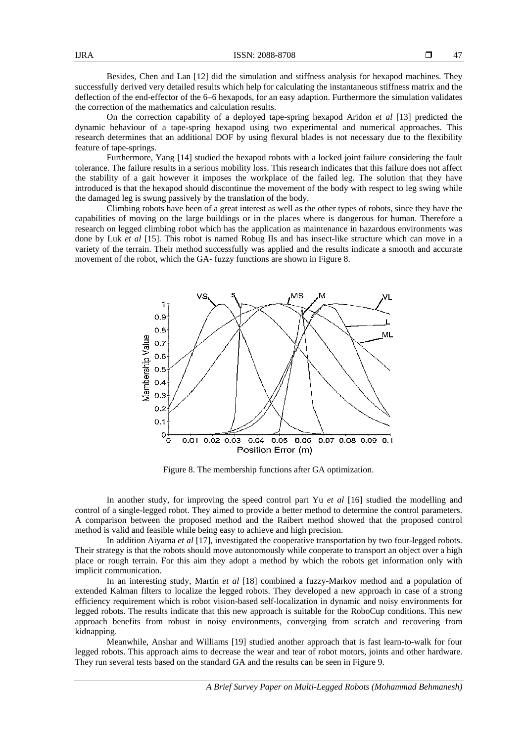Besides, Chen and Lan [12] did the simulation and stiffness analysis for hexapod machines. They successfully derived very detailed results which help for calculating the instantaneous stiffness matrix and the deflection of the end-effector of the 6–6 hexapods, for an easy adaption. Furthermore the simulation validates the correction of the mathematics and calculation results.

On the correction capability of a deployed tape-spring hexapod Aridon *et al* [13] predicted the dynamic behaviour of a tape-spring hexapod using two experimental and numerical approaches. This research determines that an additional DOF by using flexural blades is not necessary due to the flexibility feature of tape-springs.

Furthermore, Yang [14] studied the hexapod robots with a locked joint failure considering the fault tolerance. The failure results in a serious mobility loss. This research indicates that this failure does not affect the stability of a gait however it imposes the workplace of the failed leg. The solution that they have introduced is that the hexapod should discontinue the movement of the body with respect to leg swing while the damaged leg is swung passively by the translation of the body.

Climbing robots have been of a great interest as well as the other types of robots, since they have the capabilities of moving on the large buildings or in the places where is dangerous for human. Therefore a research on legged climbing robot which has the application as maintenance in hazardous environments was done by Luk *et al* [15]. This robot is named Robug IIs and has insect-like structure which can move in a variety of the terrain. Their method successfully was applied and the results indicate a smooth and accurate movement of the robot, which the GA- fuzzy functions are shown in Figure 8.



Figure 8. The membership functions after GA optimization.

In another study, for improving the speed control part Yu *et al* [16] studied the modelling and control of a single-legged robot. They aimed to provide a better method to determine the control parameters. A comparison between the proposed method and the Raibert method showed that the proposed control method is valid and feasible while being easy to achieve and high precision.

In addition Aiyama *et al* [17], investigated the cooperative transportation by two four-legged robots. Their strategy is that the robots should move autonomously while cooperate to transport an object over a high place or rough terrain. For this aim they adopt a method by which the robots get information only with implicit communication.

In an interesting study, Martín *et al* [18] combined a fuzzy-Markov method and a population of extended Kalman filters to localize the legged robots. They developed a new approach in case of a strong efficiency requirement which is robot vision-based self-localization in dynamic and noisy environments for legged robots. The results indicate that this new approach is suitable for the RoboCup conditions. This new approach benefits from robust in noisy environments, converging from scratch and recovering from kidnapping.

Meanwhile, Anshar and Williams [19] studied another approach that is fast learn-to-walk for four legged robots. This approach aims to decrease the wear and tear of robot motors, joints and other hardware. They run several tests based on the standard GA and the results can be seen in Figure 9.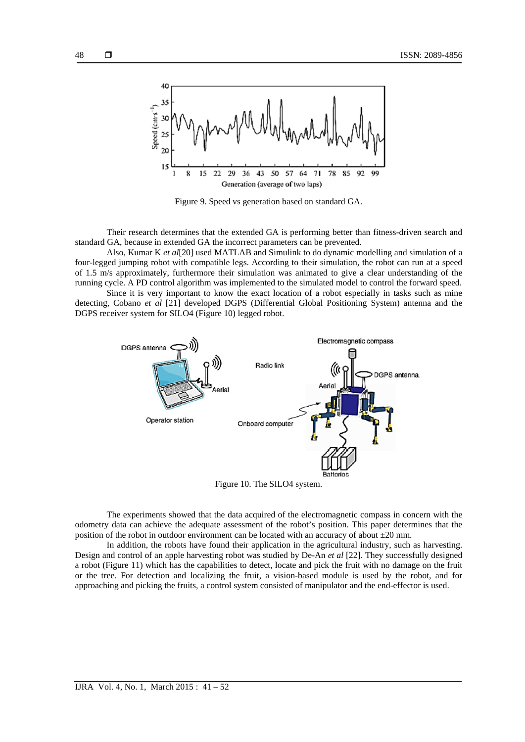

Figure 9. Speed vs generation based on standard GA.

Their research determines that the extended GA is performing better than fitness-driven search and standard GA, because in extended GA the incorrect parameters can be prevented.

Also, Kumar K *et al*[20] used MATLAB and Simulink to do dynamic modelling and simulation of a four-legged jumping robot with compatible legs. According to their simulation, the robot can run at a speed of 1.5 m/s approximately, furthermore their simulation was animated to give a clear understanding of the running cycle. A PD control algorithm was implemented to the simulated model to control the forward speed.

Since it is very important to know the exact location of a robot especially in tasks such as mine detecting, Cobano *et al* [21] developed DGPS (Differential Global Positioning System) antenna and the DGPS receiver system for SILO4 (Figure 10) legged robot.



Figure 10. The SILO4 system.

The experiments showed that the data acquired of the electromagnetic compass in concern with the odometry data can achieve the adequate assessment of the robot's position. This paper determines that the position of the robot in outdoor environment can be located with an accuracy of about  $\pm 20$  mm.

In addition, the robots have found their application in the agricultural industry, such as harvesting. Design and control of an apple harvesting robot was studied by De-An *et al* [22]. They successfully designed a robot (Figure 11) which has the capabilities to detect, locate and pick the fruit with no damage on the fruit or the tree. For detection and localizing the fruit, a vision-based module is used by the robot, and for approaching and picking the fruits, a control system consisted of manipulator and the end-effector is used.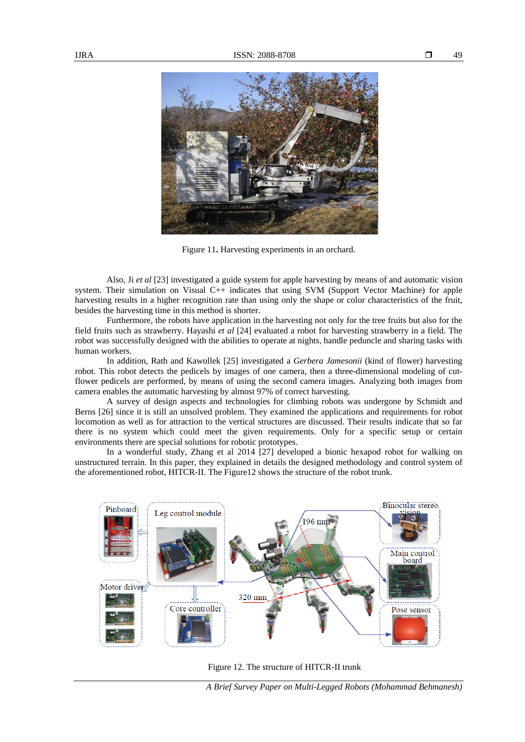

Figure 11**.** Harvesting experiments in an orchard.

Also, Ji *et al* [23] investigated a guide system for apple harvesting by means of and automatic vision system. Their simulation on Visual C++ indicates that using SVM (Support Vector Machine) for apple harvesting results in a higher recognition rate than using only the shape or color characteristics of the fruit, besides the harvesting time in this method is shorter.

Furthermore, the robots have application in the harvesting not only for the tree fruits but also for the field fruits such as strawberry. Hayashi *et al* [24] evaluated a robot for harvesting strawberry in a field. The robot was successfully designed with the abilities to operate at nights, handle peduncle and sharing tasks with human workers.

In addition, Rath and Kawollek [25] investigated a *Gerbera Jamesonii* (kind of flower) harvesting robot. This robot detects the pedicels by images of one camera, then a three-dimensional modeling of cutflower pedicels are performed, by means of using the second camera images. Analyzing both images from camera enables the automatic harvesting by almost 97% of correct harvesting.

A survey of design aspects and technologies for climbing robots was undergone by Schmidt and Berns [26] since it is still an unsolved problem. They examined the applications and requirements for robot locomotion as well as for attraction to the vertical structures are discussed. Their results indicate that so far there is no system which could meet the given requirements. Only for a specific setup or certain environments there are special solutions for robotic prototypes.

In a wonderful study, Zhang et al 2014 [27] developed a bionic hexapod robot for walking on unstructured terrain. In this paper, they explained in details the designed methodology and control system of the aforementioned robot, HITCR-II. The Figure12 shows the structure of the robot trunk.



Figure 12. The structure of HITCR-II trunk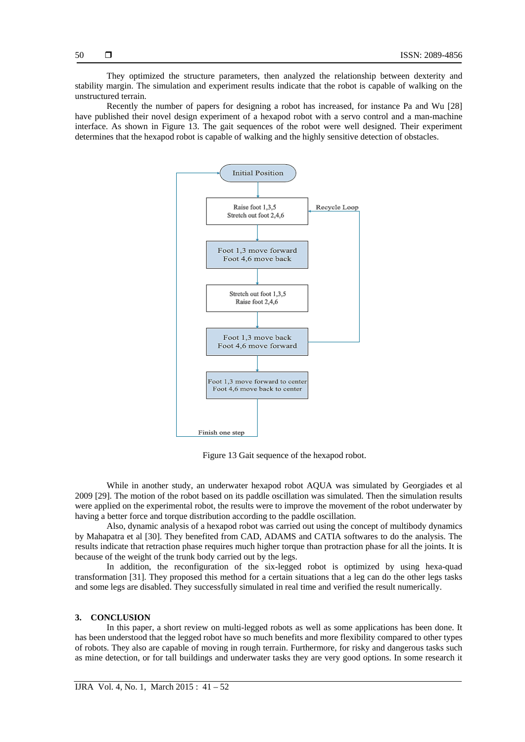They optimized the structure parameters, then analyzed the relationship between dexterity and stability margin. The simulation and experiment results indicate that the robot is capable of walking on the unstructured terrain.

Recently the number of papers for designing a robot has increased, for instance Pa and Wu [28] have published their novel design experiment of a hexapod robot with a servo control and a man-machine interface. As shown in Figure 13. The gait sequences of the robot were well designed. Their experiment determines that the hexapod robot is capable of walking and the highly sensitive detection of obstacles.



Figure 13 Gait sequence of the hexapod robot.

While in another study, an underwater hexapod robot AQUA was simulated by Georgiades et al 2009 [29]. The motion of the robot based on its paddle oscillation was simulated. Then the simulation results were applied on the experimental robot, the results were to improve the movement of the robot underwater by having a better force and torque distribution according to the paddle oscillation.

Also, dynamic analysis of a hexapod robot was carried out using the concept of multibody dynamics by Mahapatra et al [30]. They benefited from CAD, ADAMS and CATIA softwares to do the analysis. The results indicate that retraction phase requires much higher torque than protraction phase for all the joints. It is because of the weight of the trunk body carried out by the legs.

In addition, the reconfiguration of the six-legged robot is optimized by using hexa-quad transformation [31]. They proposed this method for a certain situations that a leg can do the other legs tasks and some legs are disabled. They successfully simulated in real time and verified the result numerically.

#### **3. CONCLUSION**

In this paper, a short review on multi-legged robots as well as some applications has been done. It has been understood that the legged robot have so much benefits and more flexibility compared to other types of robots. They also are capable of moving in rough terrain. Furthermore, for risky and dangerous tasks such as mine detection, or for tall buildings and underwater tasks they are very good options. In some research it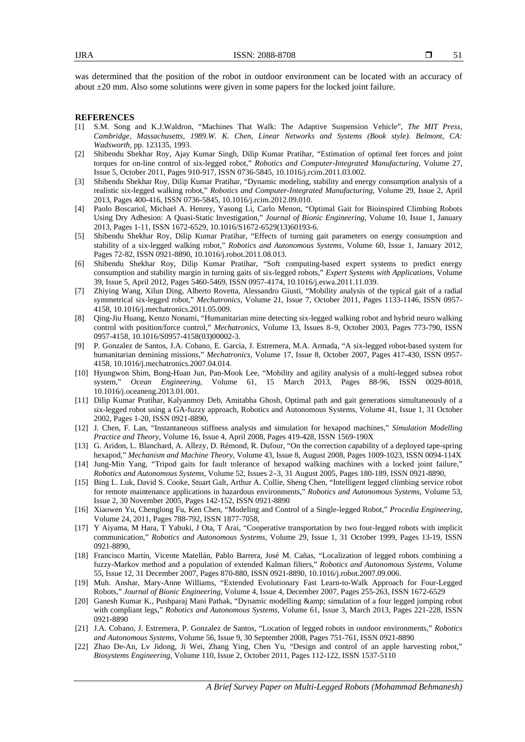was determined that the position of the robot in outdoor environment can be located with an accuracy of about ±20 mm. Also some solutions were given in some papers for the locked joint failure.

#### **REFERENCES**

- [1] S.M. Song and K.J.Waldron, "Machines That Walk: The Adaptive Suspension Vehicle", *The MIT Press, Cambridge, Massachusetts, 1989.W. K. Chen, Linear Networks and Systems (Book style). Belmont, CA: Wadsworth*, pp. 123135, 1993.
- [2] Shibendu Shekhar Roy, Ajay Kumar Singh, Dilip Kumar Pratihar, "Estimation of optimal feet forces and joint torques for on-line control of six-legged robot," *Robotics and Computer-Integrated Manufacturing*, Volume 27, Issue 5, October 2011, Pages 910-917, ISSN 0736-5845, 10.1016/j.rcim.2011.03.002.
- [3] Shibendu Shekhar Roy, Dilip Kumar Pratihar, "Dynamic modeling, stability and energy consumption analysis of a realistic six-legged walking robot," *Robotics and Computer-Integrated Manufacturing*, Volume 29, Issue 2, April 2013, Pages 400-416, ISSN 0736-5845, 10.1016/j.rcim.2012.09.010.
- [4] Paolo Boscariol, Michael A. Henrey, Yasong Li, Carlo Menon, "Optimal Gait for Bioinspired Climbing Robots Using Dry Adhesion: A Quasi-Static Investigation," *Journal of Bionic Engineering*, Volume 10, Issue 1, January 2013, Pages 1-11, ISSN 1672-6529, 10.1016/S1672-6529(13)60193-6.
- [5] Shibendu Shekhar Roy, Dilip Kumar Pratihar, "Effects of turning gait parameters on energy consumption and stability of a six-legged walking robot," *Robotics and Autonomous Systems*, Volume 60, Issue 1, January 2012, Pages 72-82, ISSN 0921-8890, 10.1016/j.robot.2011.08.013.
- [6] Shibendu Shekhar Roy, Dilip Kumar Pratihar, "Soft computing-based expert systems to predict energy consumption and stability margin in turning gaits of six-legged robots," *Expert Systems with Applications*, Volume 39, Issue 5, April 2012, Pages 5460-5469, ISSN 0957-4174, 10.1016/j.eswa.2011.11.039.
- [7] Zhiying Wang, Xilun Ding, Alberto Rovetta, Alessandro Giusti, "Mobility analysis of the typical gait of a radial symmetrical six-legged robot," *Mechatronics*, Volume 21, Issue 7, October 2011, Pages 1133-1146, ISSN 0957- 4158, 10.1016/j.mechatronics.2011.05.009.
- [8] Qing-Jiu Huang, Kenzo Nonami, "Humanitarian mine detecting six-legged walking robot and hybrid neuro walking control with position/force control," *Mechatronics*, Volume 13, Issues 8–9, October 2003, Pages 773-790, ISSN 0957-4158, 10.1016/S0957-4158(03)00002-3.
- [9] P. Gonzalez de Santos, J.A. Cobano, E. Garcia, J. Estremera, M.A. Armada, "A six-legged robot-based system for humanitarian demining missions," *Mechatronics*, Volume 17, Issue 8, October 2007, Pages 417-430, ISSN 0957- 4158, 10.1016/j.mechatronics.2007.04.014.
- [10] Hyungwon Shim, Bong-Huan Jun, Pan-Mook Lee, "Mobility and agility analysis of a multi-legged subsea robot system," *Ocean Engineering*, Volume 61, 15 March 2013, Pages 88-96, ISSN 0029-8018, 10.1016/j.oceaneng.2013.01.001.
- [11] Dilip Kumar Pratihar, Kalyanmoy Deb, Amitabha Ghosh, Optimal path and gait generations simultaneously of a six-legged robot using a GA-fuzzy approach, Robotics and Autonomous Systems, Volume 41, Issue 1, 31 October 2002, Pages 1-20, ISSN 0921-8890,
- [12] J. Chen, F. Lan, "Instantaneous stiffness analysis and simulation for hexapod machines," *Simulation Modelling Practice and Theory*, Volume 16, Issue 4, April 2008, Pages 419-428, ISSN 1569-190X
- [13] G. Aridon, L. Blanchard, A. Allezy, D. Rémond, R. Dufour, "On the correction capability of a deployed tape-spring hexapod," *Mechanism and Machine Theory*, Volume 43, Issue 8, August 2008, Pages 1009-1023, ISSN 0094-114X
- [14] Jung-Min Yang, "Tripod gaits for fault tolerance of hexapod walking machines with a locked joint failure," *Robotics and Autonomous Systems*, Volume 52, Issues 2–3, 31 August 2005, Pages 180-189, ISSN 0921-8890,
- [15] Bing L. Luk, David S. Cooke, Stuart Galt, Arthur A. Collie, Sheng Chen, "Intelligent legged climbing service robot for remote maintenance applications in hazardous environments," *Robotics and Autonomous Systems*, Volume 53, Issue 2, 30 November 2005, Pages 142-152, ISSN 0921-8890
- [16] Xiaowen Yu, Chenglong Fu, Ken Chen, "Modeling and Control of a Single-legged Robot," *Procedia Engineering*, Volume 24, 2011, Pages 788-792, ISSN 1877-7058,
- [17] Y Aiyama, M Hara, T Yabuki, J Ota, T Arai, "Cooperative transportation by two four-legged robots with implicit communication," *Robotics and Autonomous Systems*, Volume 29, Issue 1, 31 October 1999, Pages 13-19, ISSN 0921-8890,
- [18] Francisco Martín, Vicente Matellán, Pablo Barrera, José M. Cañas, "Localization of legged robots combining a fuzzy-Markov method and a population of extended Kalman filters," *Robotics and Autonomous Systems*, Volume 55, Issue 12, 31 December 2007, Pages 870-880, ISSN 0921-8890, 10.1016/j.robot.2007.09.006.
- [19] Muh. Anshar, Mary-Anne Williams, "Extended Evolutionary Fast Learn-to-Walk Approach for Four-Legged Robots," *Journal of Bionic Engineering,* Volume 4, Issue 4, December 2007, Pages 255-263, ISSN 1672-6529
- [20] Ganesh Kumar K., Pushparaj Mani Pathak, "Dynamic modelling & amp; simulation of a four legged jumping robot with compliant legs," *Robotics and Autonomous Systems*, Volume 61, Issue 3, March 2013, Pages 221-228, ISSN 0921-8890
- [21] J.A. Cobano, J. Estremera, P. Gonzalez de Santos, "Location of legged robots in outdoor environments," *Robotics and Autonomous Systems*, Volume 56, Issue 9, 30 September 2008, Pages 751-761, ISSN 0921-8890
- [22] Zhao De-An, Lv Jidong, Ji Wei, Zhang Ying, Chen Yu, "Design and control of an apple harvesting robot," *Biosystems Engineering*, Volume 110, Issue 2, October 2011, Pages 112-122, ISSN 1537-5110